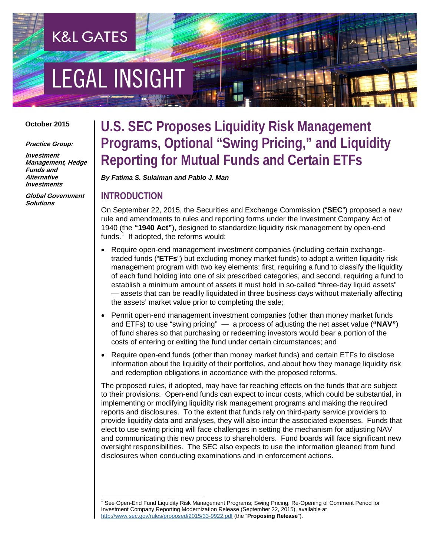# **EGAL INSIGHT**

**K&L GATES** 

#### **October 2015**

**Practice Group:**

**Investment Management, Hedge Funds and Alternative Investments**

**Global Government Solutions**

# **U.S. SEC Proposes Liquidity Risk Management Programs, Optional "Swing Pricing," and Liquidity Reporting for Mutual Funds and Certain ETFs**

*By Fatima S. Sulaiman and Pablo J. Man*

#### **INTRODUCTION**

On September 22, 2015, the Securities and Exchange Commission ("**SEC**") proposed a new rule and amendments to rules and reporting forms under the Investment Company Act of 1940 (the **"1940 Act"**), designed to standardize liquidity risk management by open-end funds.<sup>[1](#page-0-0)</sup> If adopted, the reforms would:

- Require open-end management investment companies (including certain exchangetraded funds ("**ETFs**") but excluding money market funds) to adopt a written liquidity risk management program with two key elements: first, requiring a fund to classify the liquidity of each fund holding into one of six prescribed categories, and second, requiring a fund to establish a minimum amount of assets it must hold in so-called "three-day liquid assets" — assets that can be readily liquidated in three business days without materially affecting the assets' market value prior to completing the sale;
- Permit open-end management investment companies (other than money market funds and ETFs) to use "swing pricing" — a process of adjusting the net asset value (**"NAV"**) of fund shares so that purchasing or redeeming investors would bear a portion of the costs of entering or exiting the fund under certain circumstances; and
- Require open-end funds (other than money market funds) and certain ETFs to disclose information about the liquidity of their portfolios, and about how they manage liquidity risk and redemption obligations in accordance with the proposed reforms.

The proposed rules, if adopted, may have far reaching effects on the funds that are subject to their provisions. Open-end funds can expect to incur costs, which could be substantial, in implementing or modifying liquidity risk management programs and making the required reports and disclosures. To the extent that funds rely on third-party service providers to provide liquidity data and analyses, they will also incur the associated expenses. Funds that elect to use swing pricing will face challenges in setting the mechanism for adjusting NAV and communicating this new process to shareholders. Fund boards will face significant new oversight responsibilities. The SEC also expects to use the information gleaned from fund disclosures when conducting examinations and in enforcement actions.

<span id="page-0-0"></span> <sup>1</sup> See Open-End Fund Liquidity Risk Management Programs; Swing Pricing; Re-Opening of Comment Period for Investment Company Reporting Modernization Release (September 22, 2015), available at <http://www.sec.gov/rules/proposed/2015/33-9922.pdf> (the "**Proposing Release**").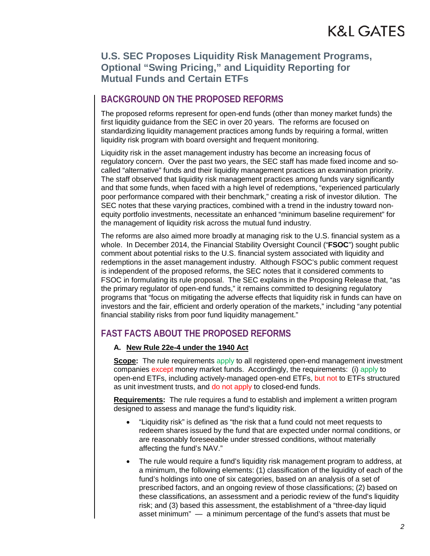# **BACKGROUND ON THE PROPOSED REFORMS**

The proposed reforms represent for open-end funds (other than money market funds) the first liquidity guidance from the SEC in over 20 years. The reforms are focused on standardizing liquidity management practices among funds by requiring a formal, written liquidity risk program with board oversight and frequent monitoring.

Liquidity risk in the asset management industry has become an increasing focus of regulatory concern. Over the past two years, the SEC staff has made fixed income and socalled "alternative" funds and their liquidity management practices an examination priority. The staff observed that liquidity risk management practices among funds vary significantly and that some funds, when faced with a high level of redemptions, "experienced particularly poor performance compared with their benchmark," creating a risk of investor dilution. The SEC notes that these varying practices, combined with a trend in the industry toward nonequity portfolio investments, necessitate an enhanced "minimum baseline requirement" for the management of liquidity risk across the mutual fund industry.

The reforms are also aimed more broadly at managing risk to the U.S. financial system as a whole. In December 2014, the Financial Stability Oversight Council ("**FSOC**") sought public comment about potential risks to the U.S. financial system associated with liquidity and redemptions in the asset management industry. Although FSOC's public comment request is independent of the proposed reforms, the SEC notes that it considered comments to FSOC in formulating its rule proposal. The SEC explains in the Proposing Release that, "as the primary regulator of open-end funds," it remains committed to designing regulatory programs that "focus on mitigating the adverse effects that liquidity risk in funds can have on investors and the fair, efficient and orderly operation of the markets," including "any potential financial stability risks from poor fund liquidity management."

# **FAST FACTS ABOUT THE PROPOSED REFORMS**

#### **A. New Rule 22e-4 under the 1940 Act**

**Scope:** The rule requirements apply to all registered open-end management investment companies except money market funds. Accordingly, the requirements: (i) apply to open-end ETFs, including actively-managed open-end ETFs, but not to ETFs structured as unit investment trusts, and do not apply to closed-end funds.

**Requirements:** The rule requires a fund to establish and implement a written program designed to assess and manage the fund's liquidity risk.

- "Liquidity risk" is defined as "the risk that a fund could not meet requests to redeem shares issued by the fund that are expected under normal conditions, or are reasonably foreseeable under stressed conditions, without materially affecting the fund's NAV."
- The rule would require a fund's liquidity risk management program to address, at a minimum, the following elements: (1) classification of the liquidity of each of the fund's holdings into one of six categories, based on an analysis of a set of prescribed factors, and an ongoing review of those classifications; (2) based on these classifications, an assessment and a periodic review of the fund's liquidity risk; and (3) based this assessment, the establishment of a "three-day liquid asset minimum" — a minimum percentage of the fund's assets that must be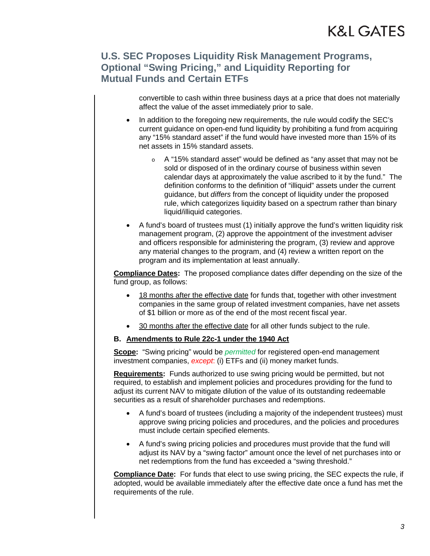convertible to cash within three business days at a price that does not materially affect the value of the asset immediately prior to sale.

- In addition to the foregoing new requirements, the rule would codify the SEC's current guidance on open-end fund liquidity by prohibiting a fund from acquiring any "15% standard asset" if the fund would have invested more than 15% of its net assets in 15% standard assets.
	- A "15% standard asset" would be defined as "any asset that may not be sold or disposed of in the ordinary course of business within seven calendar days at approximately the value ascribed to it by the fund." The definition conforms to the definition of "illiquid" assets under the current guidance, but *differs* from the concept of liquidity under the proposed rule, which categorizes liquidity based on a spectrum rather than binary liquid/illiquid categories.
- A fund's board of trustees must (1) initially approve the fund's written liquidity risk management program, (2) approve the appointment of the investment adviser and officers responsible for administering the program, (3) review and approve any material changes to the program, and (4) review a written report on the program and its implementation at least annually.

**Compliance Dates:** The proposed compliance dates differ depending on the size of the fund group, as follows:

- 18 months after the effective date for funds that, together with other investment companies in the same group of related investment companies, have net assets of \$1 billion or more as of the end of the most recent fiscal year.
- 30 months after the effective date for all other funds subject to the rule.
- **B. Amendments to Rule 22c-1 under the 1940 Act**

**Scope:** "Swing pricing" would be *permitted* for registered open-end management investment companies, *except*: (i) ETFs and (ii) money market funds.

**Requirements:** Funds authorized to use swing pricing would be permitted, but not required, to establish and implement policies and procedures providing for the fund to adjust its current NAV to mitigate dilution of the value of its outstanding redeemable securities as a result of shareholder purchases and redemptions.

- A fund's board of trustees (including a majority of the independent trustees) must approve swing pricing policies and procedures, and the policies and procedures must include certain specified elements.
- A fund's swing pricing policies and procedures must provide that the fund will adjust its NAV by a "swing factor" amount once the level of net purchases into or net redemptions from the fund has exceeded a "swing threshold."

**Compliance Date:** For funds that elect to use swing pricing, the SEC expects the rule, if adopted, would be available immediately after the effective date once a fund has met the requirements of the rule.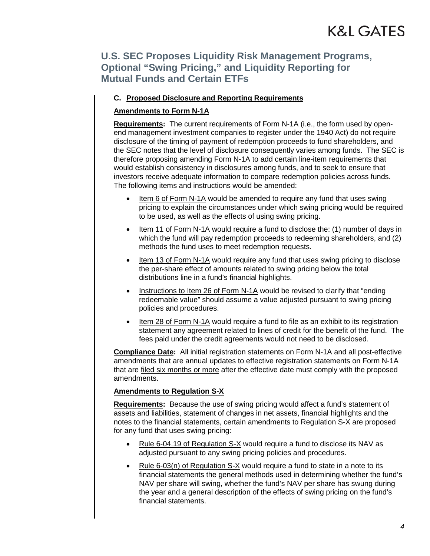#### **C. Proposed Disclosure and Reporting Requirements**

#### **Amendments to Form N-1A**

**Requirements:** The current requirements of Form N-1A (i.e., the form used by openend management investment companies to register under the 1940 Act) do not require disclosure of the timing of payment of redemption proceeds to fund shareholders, and the SEC notes that the level of disclosure consequently varies among funds. The SEC is therefore proposing amending Form N-1A to add certain line-item requirements that would establish consistency in disclosures among funds, and to seek to ensure that investors receive adequate information to compare redemption policies across funds. The following items and instructions would be amended:

- Item 6 of Form N-1A would be amended to require any fund that uses swing pricing to explain the circumstances under which swing pricing would be required to be used, as well as the effects of using swing pricing.
- Item 11 of Form N-1A would require a fund to disclose the: (1) number of days in which the fund will pay redemption proceeds to redeeming shareholders, and (2) methods the fund uses to meet redemption requests.
- Item 13 of Form N-1A would require any fund that uses swing pricing to disclose the per-share effect of amounts related to swing pricing below the total distributions line in a fund's financial highlights.
- Instructions to Item 26 of Form N-1A would be revised to clarify that "ending redeemable value" should assume a value adjusted pursuant to swing pricing policies and procedures.
- Item 28 of Form N-1A would require a fund to file as an exhibit to its registration statement any agreement related to lines of credit for the benefit of the fund. The fees paid under the credit agreements would not need to be disclosed.

**Compliance Date:** All initial registration statements on Form N-1A and all post-effective amendments that are annual updates to effective registration statements on Form N-1A that are filed six months or more after the effective date must comply with the proposed amendments.

#### **Amendments to Regulation S-X**

**Requirements:** Because the use of swing pricing would affect a fund's statement of assets and liabilities, statement of changes in net assets, financial highlights and the notes to the financial statements, certain amendments to Regulation S-X are proposed for any fund that uses swing pricing:

- Rule 6-04.19 of Regulation S-X would require a fund to disclose its NAV as adjusted pursuant to any swing pricing policies and procedures.
- Rule 6-03(n) of Regulation S-X would require a fund to state in a note to its financial statements the general methods used in determining whether the fund's NAV per share will swing, whether the fund's NAV per share has swung during the year and a general description of the effects of swing pricing on the fund's financial statements.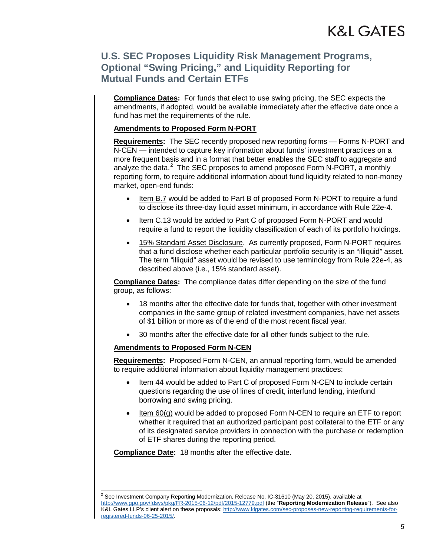**Compliance Dates:** For funds that elect to use swing pricing, the SEC expects the amendments, if adopted, would be available immediately after the effective date once a fund has met the requirements of the rule.

#### **Amendments to Proposed Form N-PORT**

**Requirements:** The SEC recently proposed new reporting forms — Forms N-PORT and N-CEN — intended to capture key information about funds' investment practices on a more frequent basis and in a format that better enables the SEC staff to aggregate and analyze the data. $^2$  $^2$  The SEC proposes to amend proposed Form N-PORT, a monthly reporting form, to require additional information about fund liquidity related to non-money market, open-end funds:

- Item B.7 would be added to Part B of proposed Form N-PORT to require a fund to disclose its three-day liquid asset minimum, in accordance with Rule 22e-4.
- Item C.13 would be added to Part C of proposed Form N-PORT and would require a fund to report the liquidity classification of each of its portfolio holdings.
- 15% Standard Asset Disclosure. As currently proposed, Form N-PORT requires that a fund disclose whether each particular portfolio security is an "illiquid" asset. The term "illiquid" asset would be revised to use terminology from Rule 22e-4, as described above (i.e., 15% standard asset).

**Compliance Dates:** The compliance dates differ depending on the size of the fund group, as follows:

- 18 months after the effective date for funds that, together with other investment companies in the same group of related investment companies, have net assets of \$1 billion or more as of the end of the most recent fiscal year.
- 30 months after the effective date for all other funds subject to the rule.

#### **Amendments to Proposed Form N-CEN**

**Requirements:** Proposed Form N-CEN, an annual reporting form, would be amended to require additional information about liquidity management practices:

- Item 44 would be added to Part C of proposed Form N-CEN to include certain questions regarding the use of lines of credit, interfund lending, interfund borrowing and swing pricing.
- Item 60(g) would be added to proposed Form N-CEN to require an ETF to report whether it required that an authorized participant post collateral to the ETF or any of its designated service providers in connection with the purchase or redemption of ETF shares during the reporting period.

**Compliance Date:** 18 months after the effective date.

<span id="page-4-0"></span><sup>&</sup>lt;sup>2</sup> See Investment Company Reporting Modernization, Release No. IC-31610 (May 20, 2015), available at <http://www.gpo.gov/fdsys/pkg/FR-2015-06-12/pdf/2015-12779.pdf> (the "**Reporting Modernization Release**"). See also K&L Gates LLP's client alert on these proposals: [http://www.klgates.com/sec-proposes-new-reporting-requirements-for](http://www.klgates.com/sec-proposes-new-reporting-requirements-for-registered-funds-06-25-2015/)[registered-funds-06-25-2015/.](http://www.klgates.com/sec-proposes-new-reporting-requirements-for-registered-funds-06-25-2015/)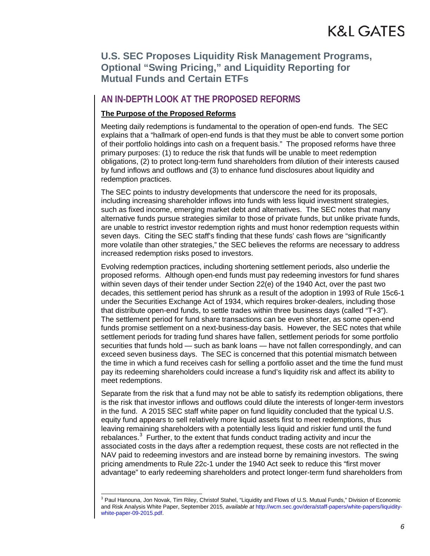### **AN IN-DEPTH LOOK AT THE PROPOSED REFORMS**

#### **The Purpose of the Proposed Reforms**

Meeting daily redemptions is fundamental to the operation of open-end funds. The SEC explains that a "hallmark of open-end funds is that they must be able to convert some portion of their portfolio holdings into cash on a frequent basis." The proposed reforms have three primary purposes: (1) to reduce the risk that funds will be unable to meet redemption obligations, (2) to protect long-term fund shareholders from dilution of their interests caused by fund inflows and outflows and (3) to enhance fund disclosures about liquidity and redemption practices.

The SEC points to industry developments that underscore the need for its proposals, including increasing shareholder inflows into funds with less liquid investment strategies, such as fixed income, emerging market debt and alternatives. The SEC notes that many alternative funds pursue strategies similar to those of private funds, but unlike private funds, are unable to restrict investor redemption rights and must honor redemption requests within seven days. Citing the SEC staff's finding that these funds' cash flows are "significantly more volatile than other strategies," the SEC believes the reforms are necessary to address increased redemption risks posed to investors.

Evolving redemption practices, including shortening settlement periods, also underlie the proposed reforms. Although open-end funds must pay redeeming investors for fund shares within seven days of their tender under Section 22(e) of the 1940 Act, over the past two decades, this settlement period has shrunk as a result of the adoption in 1993 of Rule 15c6-1 under the Securities Exchange Act of 1934, which requires broker-dealers, including those that distribute open-end funds, to settle trades within three business days (called "T+3"). The settlement period for fund share transactions can be even shorter, as some open-end funds promise settlement on a next-business-day basis. However, the SEC notes that while settlement periods for trading fund shares have fallen, settlement periods for some portfolio securities that funds hold — such as bank loans — have not fallen correspondingly, and can exceed seven business days. The SEC is concerned that this potential mismatch between the time in which a fund receives cash for selling a portfolio asset and the time the fund must pay its redeeming shareholders could increase a fund's liquidity risk and affect its ability to meet redemptions.

Separate from the risk that a fund may not be able to satisfy its redemption obligations, there is the risk that investor inflows and outflows could dilute the interests of longer-term investors in the fund. A 2015 SEC staff white paper on fund liquidity concluded that the typical U.S. equity fund appears to sell relatively more liquid assets first to meet redemptions, thus leaving remaining shareholders with a potentially less liquid and riskier fund until the fund rebalances. $3$  Further, to the extent that funds conduct trading activity and incur the associated costs in the days after a redemption request, these costs are not reflected in the NAV paid to redeeming investors and are instead borne by remaining investors. The swing pricing amendments to Rule 22c-1 under the 1940 Act seek to reduce this "first mover advantage" to early redeeming shareholders and protect longer-term fund shareholders from

<span id="page-5-0"></span><sup>&</sup>lt;sup>3</sup> Paul Hanouna, Jon Novak, Tim Riley, Christof Stahel, "Liquidity and Flows of U.S. Mutual Funds," Division of Economic and Risk Analysis White Paper, September 2015, *available at* http://wcm.sec.gov/dera/staff-papers/white-papers/liquiditywhite-paper-09-2015.pdf.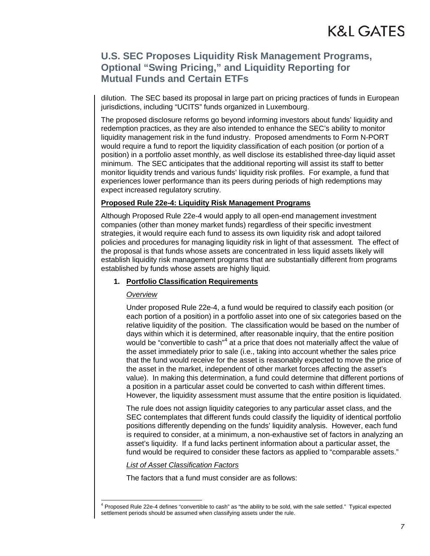dilution. The SEC based its proposal in large part on pricing practices of funds in European jurisdictions, including "UCITS" funds organized in Luxembourg.

The proposed disclosure reforms go beyond informing investors about funds' liquidity and redemption practices, as they are also intended to enhance the SEC's ability to monitor liquidity management risk in the fund industry. Proposed amendments to Form N-PORT would require a fund to report the liquidity classification of each position (or portion of a position) in a portfolio asset monthly, as well disclose its established three-day liquid asset minimum. The SEC anticipates that the additional reporting will assist its staff to better monitor liquidity trends and various funds' liquidity risk profiles. For example, a fund that experiences lower performance than its peers during periods of high redemptions may expect increased regulatory scrutiny.

#### **Proposed Rule 22e-4: Liquidity Risk Management Programs**

Although Proposed Rule 22e-4 would apply to all open-end management investment companies (other than money market funds) regardless of their specific investment strategies, it would require each fund to assess its own liquidity risk and adopt tailored policies and procedures for managing liquidity risk in light of that assessment. The effect of the proposal is that funds whose assets are concentrated in less liquid assets likely will establish liquidity risk management programs that are substantially different from programs established by funds whose assets are highly liquid.

#### **1. Portfolio Classification Requirements**

#### *Overview*

Under proposed Rule 22e-4, a fund would be required to classify each position (or each portion of a position) in a portfolio asset into one of six categories based on the relative liquidity of the position. The classification would be based on the number of days within which it is determined, after reasonable inquiry, that the entire position would be "convertible to cash"<sup>[4](#page-6-0)</sup> at a price that does not materially affect the value of the asset immediately prior to sale (i.e., taking into account whether the sales price that the fund would receive for the asset is reasonably expected to move the price of the asset in the market, independent of other market forces affecting the asset's value). In making this determination, a fund could determine that different portions of a position in a particular asset could be converted to cash within different times. However, the liquidity assessment must assume that the entire position is liquidated.

The rule does not assign liquidity categories to any particular asset class, and the SEC contemplates that different funds could classify the liquidity of identical portfolio positions differently depending on the funds' liquidity analysis. However, each fund is required to consider, at a minimum, a non-exhaustive set of factors in analyzing an asset's liquidity. If a fund lacks pertinent information about a particular asset, the fund would be required to consider these factors as applied to "comparable assets."

*List of Asset Classification Factors*

The factors that a fund must consider are as follows:

<span id="page-6-0"></span> <sup>4</sup> Proposed Rule 22e-4 defines "convertible to cash" as "the ability to be sold, with the sale settled." Typical expected settlement periods should be assumed when classifying assets under the rule.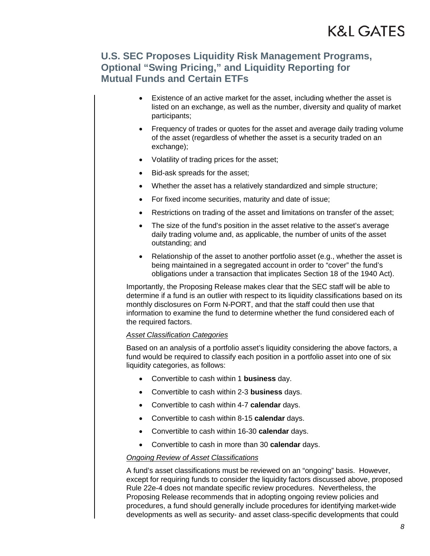- Existence of an active market for the asset, including whether the asset is listed on an exchange, as well as the number, diversity and quality of market participants;
- Frequency of trades or quotes for the asset and average daily trading volume of the asset (regardless of whether the asset is a security traded on an exchange);
- Volatility of trading prices for the asset;
- Bid-ask spreads for the asset;
- Whether the asset has a relatively standardized and simple structure;
- For fixed income securities, maturity and date of issue;
- Restrictions on trading of the asset and limitations on transfer of the asset;
- The size of the fund's position in the asset relative to the asset's average daily trading volume and, as applicable, the number of units of the asset outstanding; and
- Relationship of the asset to another portfolio asset (e.g., whether the asset is being maintained in a segregated account in order to "cover" the fund's obligations under a transaction that implicates Section 18 of the 1940 Act).

Importantly, the Proposing Release makes clear that the SEC staff will be able to determine if a fund is an outlier with respect to its liquidity classifications based on its monthly disclosures on Form N-PORT, and that the staff could then use that information to examine the fund to determine whether the fund considered each of the required factors.

#### *Asset Classification Categories*

Based on an analysis of a portfolio asset's liquidity considering the above factors, a fund would be required to classify each position in a portfolio asset into one of six liquidity categories, as follows:

- Convertible to cash within 1 **business** day.
- Convertible to cash within 2-3 **business** days.
- Convertible to cash within 4-7 **calendar** days.
- Convertible to cash within 8-15 **calendar** days.
- Convertible to cash within 16-30 **calendar** days.
- Convertible to cash in more than 30 **calendar** days.

#### *Ongoing Review of Asset Classifications*

A fund's asset classifications must be reviewed on an "ongoing" basis. However, except for requiring funds to consider the liquidity factors discussed above, proposed Rule 22e-4 does not mandate specific review procedures. Nevertheless, the Proposing Release recommends that in adopting ongoing review policies and procedures, a fund should generally include procedures for identifying market-wide developments as well as security- and asset class-specific developments that could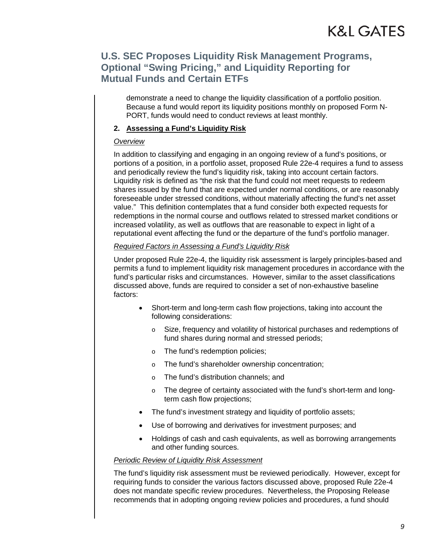demonstrate a need to change the liquidity classification of a portfolio position. Because a fund would report its liquidity positions monthly on proposed Form N-PORT, funds would need to conduct reviews at least monthly.

#### **2. Assessing a Fund's Liquidity Risk**

#### *Overview*

In addition to classifying and engaging in an ongoing review of a fund's positions, or portions of a position, in a portfolio asset, proposed Rule 22e-4 requires a fund to assess and periodically review the fund's liquidity risk, taking into account certain factors. Liquidity risk is defined as "the risk that the fund could not meet requests to redeem shares issued by the fund that are expected under normal conditions, or are reasonably foreseeable under stressed conditions, without materially affecting the fund's net asset value." This definition contemplates that a fund consider both expected requests for redemptions in the normal course and outflows related to stressed market conditions or increased volatility, as well as outflows that are reasonable to expect in light of a reputational event affecting the fund or the departure of the fund's portfolio manager.

#### *Required Factors in Assessing a Fund's Liquidity Risk*

Under proposed Rule 22e-4, the liquidity risk assessment is largely principles-based and permits a fund to implement liquidity risk management procedures in accordance with the fund's particular risks and circumstances. However, similar to the asset classifications discussed above, funds are required to consider a set of non-exhaustive baseline factors:

- Short-term and long-term cash flow projections, taking into account the following considerations:
	- o Size, frequency and volatility of historical purchases and redemptions of fund shares during normal and stressed periods;
	- o The fund's redemption policies;
	- o The fund's shareholder ownership concentration;
	- o The fund's distribution channels; and
	- o The degree of certainty associated with the fund's short-term and longterm cash flow projections;
- The fund's investment strategy and liquidity of portfolio assets;
- Use of borrowing and derivatives for investment purposes; and
- Holdings of cash and cash equivalents, as well as borrowing arrangements and other funding sources.

#### *Periodic Review of Liquidity Risk Assessment*

The fund's liquidity risk assessment must be reviewed periodically. However, except for requiring funds to consider the various factors discussed above, proposed Rule 22e-4 does not mandate specific review procedures. Nevertheless, the Proposing Release recommends that in adopting ongoing review policies and procedures, a fund should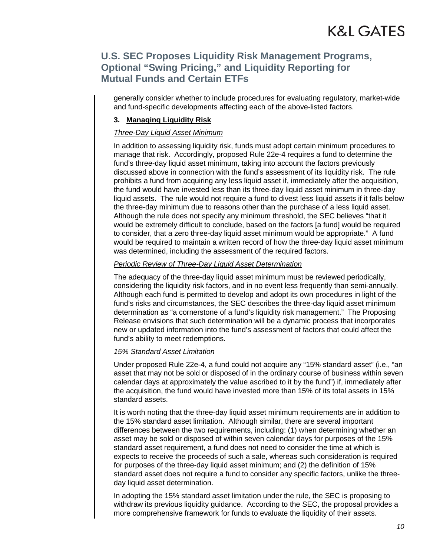generally consider whether to include procedures for evaluating regulatory, market-wide and fund-specific developments affecting each of the above-listed factors.

#### **3. Managing Liquidity Risk**

#### *Three-Day Liquid Asset Minimum*

In addition to assessing liquidity risk, funds must adopt certain minimum procedures to manage that risk. Accordingly, proposed Rule 22e-4 requires a fund to determine the fund's three-day liquid asset minimum, taking into account the factors previously discussed above in connection with the fund's assessment of its liquidity risk. The rule prohibits a fund from acquiring any less liquid asset if, immediately after the acquisition, the fund would have invested less than its three-day liquid asset minimum in three-day liquid assets. The rule would not require a fund to divest less liquid assets if it falls below the three-day minimum due to reasons other than the purchase of a less liquid asset. Although the rule does not specify any minimum threshold, the SEC believes "that it would be extremely difficult to conclude, based on the factors [a fund] would be required to consider, that a zero three-day liquid asset minimum would be appropriate." A fund would be required to maintain a written record of how the three-day liquid asset minimum was determined, including the assessment of the required factors.

#### *Periodic Review of Three-Day Liquid Asset Determination*

The adequacy of the three-day liquid asset minimum must be reviewed periodically, considering the liquidity risk factors, and in no event less frequently than semi-annually. Although each fund is permitted to develop and adopt its own procedures in light of the fund's risks and circumstances, the SEC describes the three-day liquid asset minimum determination as "a cornerstone of a fund's liquidity risk management." The Proposing Release envisions that such determination will be a dynamic process that incorporates new or updated information into the fund's assessment of factors that could affect the fund's ability to meet redemptions.

#### *15% Standard Asset Limitation*

Under proposed Rule 22e-4, a fund could not acquire any "15% standard asset" (i.e., "an asset that may not be sold or disposed of in the ordinary course of business within seven calendar days at approximately the value ascribed to it by the fund") if, immediately after the acquisition, the fund would have invested more than 15% of its total assets in 15% standard assets.

It is worth noting that the three-day liquid asset minimum requirements are in addition to the 15% standard asset limitation. Although similar, there are several important differences between the two requirements, including: (1) when determining whether an asset may be sold or disposed of within seven calendar days for purposes of the 15% standard asset requirement, a fund does not need to consider the time at which is expects to receive the proceeds of such a sale, whereas such consideration is required for purposes of the three-day liquid asset minimum; and (2) the definition of 15% standard asset does not require a fund to consider any specific factors, unlike the threeday liquid asset determination.

In adopting the 15% standard asset limitation under the rule, the SEC is proposing to withdraw its previous liquidity guidance. According to the SEC, the proposal provides a more comprehensive framework for funds to evaluate the liquidity of their assets.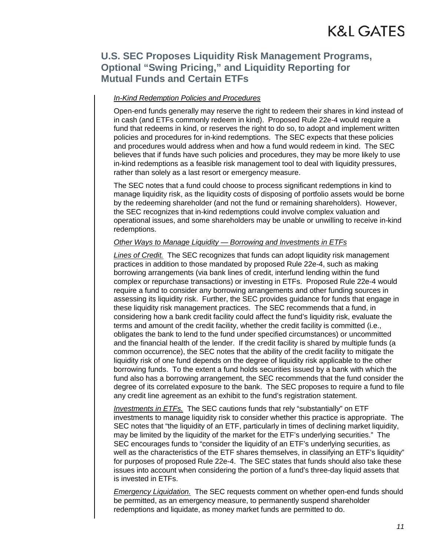#### *In-Kind Redemption Policies and Procedures*

Open-end funds generally may reserve the right to redeem their shares in kind instead of in cash (and ETFs commonly redeem in kind). Proposed Rule 22e-4 would require a fund that redeems in kind, or reserves the right to do so, to adopt and implement written policies and procedures for in-kind redemptions. The SEC expects that these policies and procedures would address when and how a fund would redeem in kind. The SEC believes that if funds have such policies and procedures, they may be more likely to use in-kind redemptions as a feasible risk management tool to deal with liquidity pressures, rather than solely as a last resort or emergency measure.

The SEC notes that a fund could choose to process significant redemptions in kind to manage liquidity risk, as the liquidity costs of disposing of portfolio assets would be borne by the redeeming shareholder (and not the fund or remaining shareholders). However, the SEC recognizes that in-kind redemptions could involve complex valuation and operational issues, and some shareholders may be unable or unwilling to receive in-kind redemptions.

#### *Other Ways to Manage Liquidity — Borrowing and Investments in ETFs*

*Lines of Credit.* The SEC recognizes that funds can adopt liquidity risk management practices in addition to those mandated by proposed Rule 22e-4, such as making borrowing arrangements (via bank lines of credit, interfund lending within the fund complex or repurchase transactions) or investing in ETFs. Proposed Rule 22e-4 would require a fund to consider any borrowing arrangements and other funding sources in assessing its liquidity risk. Further, the SEC provides guidance for funds that engage in these liquidity risk management practices. The SEC recommends that a fund, in considering how a bank credit facility could affect the fund's liquidity risk, evaluate the terms and amount of the credit facility, whether the credit facility is committed (i.e., obligates the bank to lend to the fund under specified circumstances) or uncommitted and the financial health of the lender. If the credit facility is shared by multiple funds (a common occurrence), the SEC notes that the ability of the credit facility to mitigate the liquidity risk of one fund depends on the degree of liquidity risk applicable to the other borrowing funds. To the extent a fund holds securities issued by a bank with which the fund also has a borrowing arrangement, the SEC recommends that the fund consider the degree of its correlated exposure to the bank. The SEC proposes to require a fund to file any credit line agreement as an exhibit to the fund's registration statement.

*Investments in ETFs.* The SEC cautions funds that rely "substantially" on ETF investments to manage liquidity risk to consider whether this practice is appropriate. The SEC notes that "the liquidity of an ETF, particularly in times of declining market liquidity, may be limited by the liquidity of the market for the ETF's underlying securities." The SEC encourages funds to "consider the liquidity of an ETF's underlying securities, as well as the characteristics of the ETF shares themselves, in classifying an ETF's liquidity" for purposes of proposed Rule 22e-4. The SEC states that funds should also take these issues into account when considering the portion of a fund's three-day liquid assets that is invested in ETFs.

*Emergency Liquidation.* The SEC requests comment on whether open-end funds should be permitted, as an emergency measure, to permanently suspend shareholder redemptions and liquidate, as money market funds are permitted to do.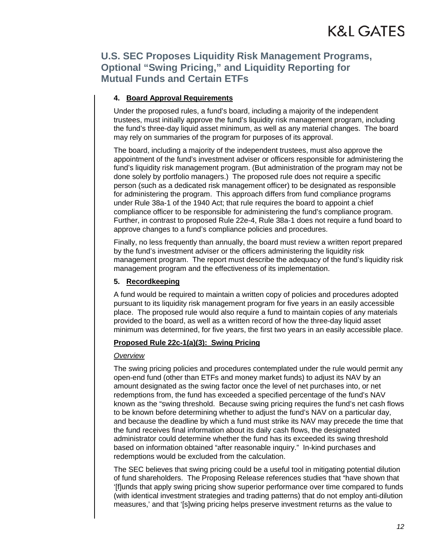#### **4. Board Approval Requirements**

Under the proposed rules, a fund's board, including a majority of the independent trustees, must initially approve the fund's liquidity risk management program, including the fund's three-day liquid asset minimum, as well as any material changes. The board may rely on summaries of the program for purposes of its approval.

The board, including a majority of the independent trustees, must also approve the appointment of the fund's investment adviser or officers responsible for administering the fund's liquidity risk management program. (But administration of the program may not be done solely by portfolio managers.) The proposed rule does not require a specific person (such as a dedicated risk management officer) to be designated as responsible for administering the program. This approach differs from fund compliance programs under Rule 38a-1 of the 1940 Act; that rule requires the board to appoint a chief compliance officer to be responsible for administering the fund's compliance program. Further, in contrast to proposed Rule 22e-4, Rule 38a-1 does not require a fund board to approve changes to a fund's compliance policies and procedures.

Finally, no less frequently than annually, the board must review a written report prepared by the fund's investment adviser or the officers administering the liquidity risk management program. The report must describe the adequacy of the fund's liquidity risk management program and the effectiveness of its implementation.

#### **5. Recordkeeping**

A fund would be required to maintain a written copy of policies and procedures adopted pursuant to its liquidity risk management program for five years in an easily accessible place. The proposed rule would also require a fund to maintain copies of any materials provided to the board, as well as a written record of how the three-day liquid asset minimum was determined, for five years, the first two years in an easily accessible place.

#### **Proposed Rule 22c-1(a)(3): Swing Pricing**

#### *Overview*

The swing pricing policies and procedures contemplated under the rule would permit any open-end fund (other than ETFs and money market funds) to adjust its NAV by an amount designated as the swing factor once the level of net purchases into, or net redemptions from, the fund has exceeded a specified percentage of the fund's NAV known as the "swing threshold. Because swing pricing requires the fund's net cash flows to be known before determining whether to adjust the fund's NAV on a particular day, and because the deadline by which a fund must strike its NAV may precede the time that the fund receives final information about its daily cash flows, the designated administrator could determine whether the fund has its exceeded its swing threshold based on information obtained "after reasonable inquiry." In-kind purchases and redemptions would be excluded from the calculation.

The SEC believes that swing pricing could be a useful tool in mitigating potential dilution of fund shareholders. The Proposing Release references studies that "have shown that '[f]unds that apply swing pricing show superior performance over time compared to funds (with identical investment strategies and trading patterns) that do not employ anti-dilution measures,' and that '[s]wing pricing helps preserve investment returns as the value to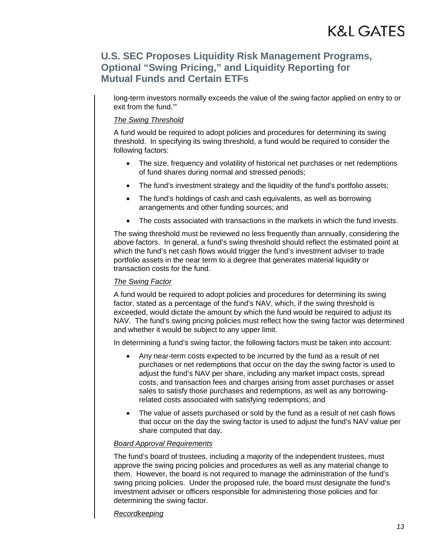long-term investors normally exceeds the value of the swing factor applied on entry to or exit from the fund.'"

#### *The Swing Threshold*

A fund would be required to adopt policies and procedures for determining its swing threshold. In specifying its swing threshold, a fund would be required to consider the following factors:

- The size, frequency and volatility of historical net purchases or net redemptions of fund shares during normal and stressed periods;
- The fund's investment strategy and the liquidity of the fund's portfolio assets;
- The fund's holdings of cash and cash equivalents, as well as borrowing arrangements and other funding sources; and
- The costs associated with transactions in the markets in which the fund invests.

The swing threshold must be reviewed no less frequently than annually, considering the above factors. In general, a fund's swing threshold should reflect the estimated point at which the fund's net cash flows would trigger the fund's investment adviser to trade portfolio assets in the near term to a degree that generates material liquidity or transaction costs for the fund.

#### *The Swing Factor*

A fund would be required to adopt policies and procedures for determining its swing factor, stated as a percentage of the fund's NAV, which, if the swing threshold is exceeded, would dictate the amount by which the fund would be required to adjust its NAV. The fund's swing pricing policies must reflect how the swing factor was determined and whether it would be subject to any upper limit.

In determining a fund's swing factor, the following factors must be taken into account:

- Any near-term costs expected to be incurred by the fund as a result of net purchases or net redemptions that occur on the day the swing factor is used to adjust the fund's NAV per share, including any market impact costs, spread costs, and transaction fees and charges arising from asset purchases or asset sales to satisfy those purchases and redemptions, as well as any borrowingrelated costs associated with satisfying redemptions; and
- The value of assets purchased or sold by the fund as a result of net cash flows that occur on the day the swing factor is used to adjust the fund's NAV value per share computed that day.

#### *Board Approval Requirements*

The fund's board of trustees, including a majority of the independent trustees, must approve the swing pricing policies and procedures as well as any material change to them. However, the board is not required to manage the administration of the fund's swing pricing policies. Under the proposed rule, the board must designate the fund's investment adviser or officers responsible for administering those policies and for determining the swing factor.

#### *Recordkeeping*